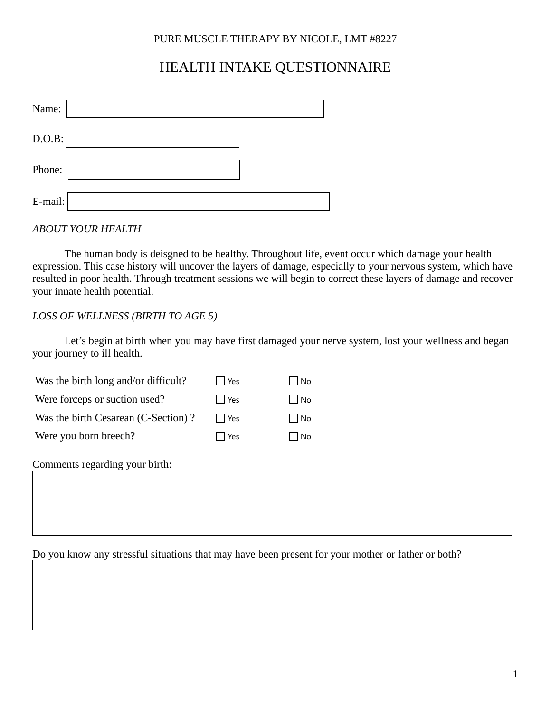# HEALTH INTAKE QUESTIONNAIRE

| Name:   |  |
|---------|--|
| D.O.B:  |  |
| Phone:  |  |
| E-mail: |  |

*ABOUT YOUR HEALTH*

The human body is deisgned to be healthy. Throughout life, event occur which damage your health expression. This case history will uncover the layers of damage, especially to your nervous system, which have resulted in poor health. Through treatment sessions we will begin to correct these layers of damage and recover your innate health potential.

### *LOSS OF WELLNESS (BIRTH TO AGE 5)*

Let's begin at birth when you may have first damaged your nerve system, lost your wellness and began your journey to ill health.

| Was the birth long and/or difficult? | l Yes   | l No         |
|--------------------------------------|---------|--------------|
| Were forceps or suction used?        | l l Yes | l INo        |
| Was the birth Cesarean (C-Section)?  | l l Yes | l INo        |
| Were you born breech?                | l l Yes | $\cdot$   No |
|                                      |         |              |

Comments regarding your birth:

Do you know any stressful situations that may have been present for your mother or father or both?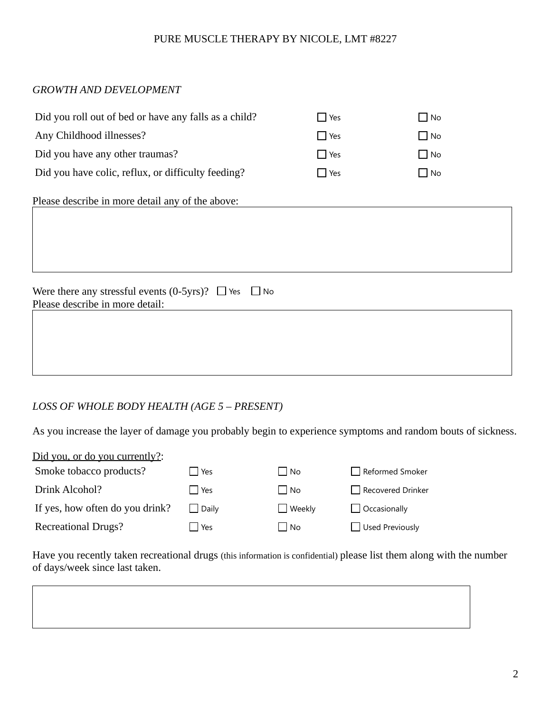### *GROWTH AND DEVELOPMENT*

| Did you roll out of bed or have any falls as a child?          | $\Box$ Yes | $\Box$ No |  |  |
|----------------------------------------------------------------|------------|-----------|--|--|
| Any Childhood illnesses?                                       | $\Box$ Yes | $\Box$ No |  |  |
| Did you have any other traumas?                                | $\Box$ Yes | $\Box$ No |  |  |
| Did you have colic, reflux, or difficulty feeding?             | $\Box$ Yes | $\Box$ No |  |  |
| Please describe in more detail any of the above:               |            |           |  |  |
|                                                                |            |           |  |  |
|                                                                |            |           |  |  |
|                                                                |            |           |  |  |
| Were there any stressful events (0-5yrs)? $\Box$ Yes $\Box$ No |            |           |  |  |
| Please describe in more detail:                                |            |           |  |  |
|                                                                |            |           |  |  |
|                                                                |            |           |  |  |
|                                                                |            |           |  |  |

### *LOSS OF WHOLE BODY HEALTH (AGE 5 – PRESENT)*

As you increase the layer of damage you probably begin to experience symptoms and random bouts of sickness.

| Did you, or do you currently?:  |                |               |                        |
|---------------------------------|----------------|---------------|------------------------|
| Smoke tobacco products?         | $\Box$ Yes     | No            | Reformed Smoker        |
| Drink Alcohol?                  | l l Yes        | $\Box$ No     | Recovered Drinker      |
| If yes, how often do you drink? | <b>□</b> Daily | <b>Weekly</b> | $\Box$ Occasionally    |
| <b>Recreational Drugs?</b>      | l Yes          | ' ∫ No        | $\Box$ Used Previously |

Have you recently taken recreational drugs (this information is confidential) please list them along with the number of days/week since last taken.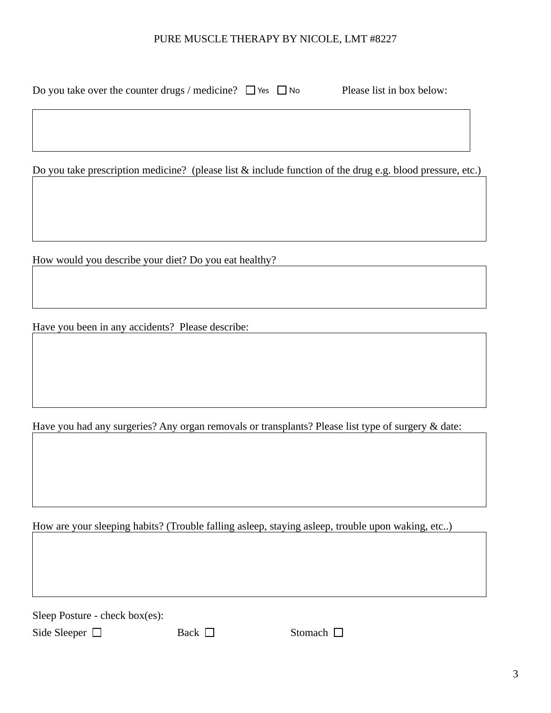| Do you take over the counter drugs / medicine? $\Box$ Yes $\Box$ No | Please list in box below: |
|---------------------------------------------------------------------|---------------------------|
|                                                                     |                           |

Do you take prescription medicine? (please list & include function of the drug e.g. blood pressure, etc.)

How would you describe your diet? Do you eat healthy?

Have you been in any accidents? Please describe:

Have you had any surgeries? Any organ removals or transplants? Please list type of surgery & date:

How are your sleeping habits? (Trouble falling asleep, staying asleep, trouble upon waking, etc..)

Sleep Posture - check box(es):

Side Sleeper  $\Box$  Back  $\Box$  Stomach  $\Box$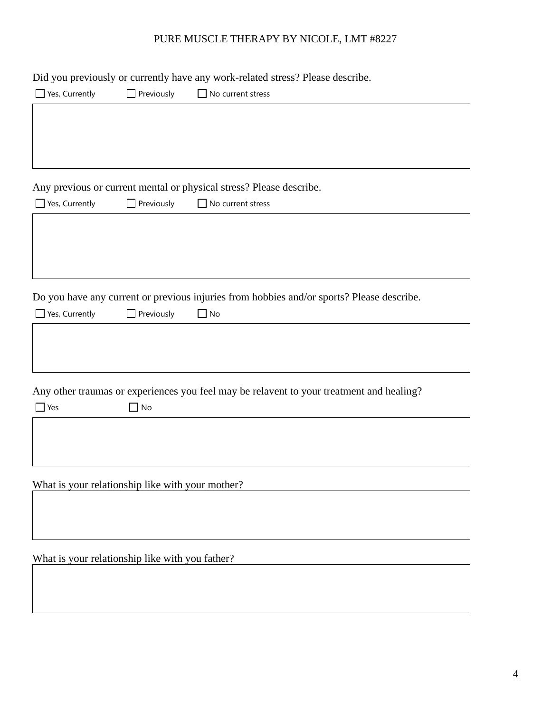|                                                  |                   | Did you previously or currently have any work-related stress? Please describe.            |
|--------------------------------------------------|-------------------|-------------------------------------------------------------------------------------------|
| Yes, Currently                                   | Previously        | $\Box$ No current stress                                                                  |
|                                                  |                   |                                                                                           |
|                                                  |                   |                                                                                           |
|                                                  |                   |                                                                                           |
|                                                  |                   |                                                                                           |
|                                                  |                   | Any previous or current mental or physical stress? Please describe.                       |
| $\Box$ Yes, Currently                            | Previously        | No current stress                                                                         |
|                                                  |                   |                                                                                           |
|                                                  |                   |                                                                                           |
|                                                  |                   |                                                                                           |
|                                                  |                   |                                                                                           |
|                                                  |                   |                                                                                           |
|                                                  |                   | Do you have any current or previous injuries from hobbies and/or sports? Please describe. |
| Yes, Currently                                   | $\Box$ Previously | $\Box$ No                                                                                 |
|                                                  |                   |                                                                                           |
|                                                  |                   |                                                                                           |
|                                                  |                   |                                                                                           |
|                                                  |                   |                                                                                           |
|                                                  |                   | Any other traumas or experiences you feel may be relavent to your treatment and healing?  |
| $\Box$ Yes                                       | $\Box$ No         |                                                                                           |
|                                                  |                   |                                                                                           |
|                                                  |                   |                                                                                           |
|                                                  |                   |                                                                                           |
|                                                  |                   |                                                                                           |
| What is your relationship like with your mother? |                   |                                                                                           |
|                                                  |                   |                                                                                           |

# What is your relationship like with you father?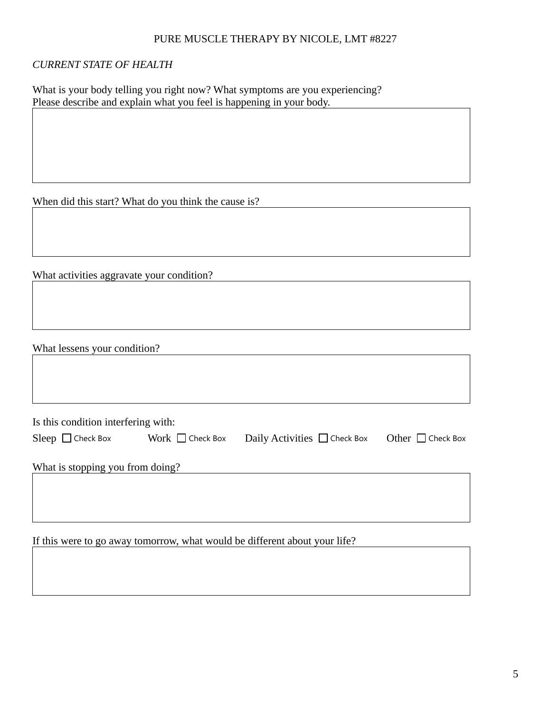### *CURRENT STATE OF HEALTH*

What is your body telling you right now? What symptoms are you experiencing? Please describe and explain what you feel is happening in your body.

When did this start? What do you think the cause is?

What activities aggravate your condition?

What lessens your condition?

Is this condition interfering with:

| Sleep $\Box$ Check Box           | Work $\Box$ Check Box | Daily Activities $\Box$ Check Box | Other $\Box$ Check Box |
|----------------------------------|-----------------------|-----------------------------------|------------------------|
| What is stopping you from doing? |                       |                                   |                        |
|                                  |                       |                                   |                        |

If this were to go away tomorrow, what would be different about your life?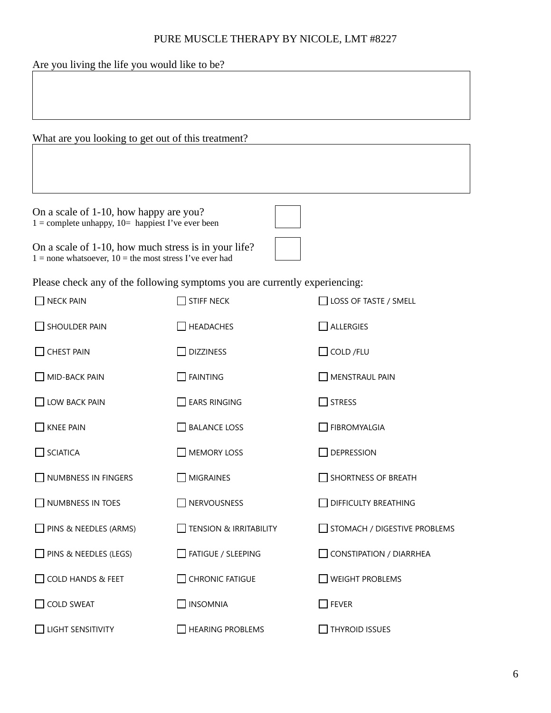| Are you living the life you would like to be?                                                                       |                                                                            |                                |  |
|---------------------------------------------------------------------------------------------------------------------|----------------------------------------------------------------------------|--------------------------------|--|
|                                                                                                                     |                                                                            |                                |  |
|                                                                                                                     |                                                                            |                                |  |
| What are you looking to get out of this treatment?                                                                  |                                                                            |                                |  |
|                                                                                                                     |                                                                            |                                |  |
|                                                                                                                     |                                                                            |                                |  |
| On a scale of 1-10, how happy are you?<br>$1 =$ complete unhappy, $10 =$ happiest I've ever been                    |                                                                            |                                |  |
| On a scale of 1-10, how much stress is in your life?<br>$1 =$ none whatsoever, $10 =$ the most stress I've ever had |                                                                            |                                |  |
|                                                                                                                     | Please check any of the following symptoms you are currently experiencing: |                                |  |
| <b>NECK PAIN</b>                                                                                                    | <b>STIFF NECK</b>                                                          | LOSS OF TASTE / SMELL          |  |
| SHOULDER PAIN                                                                                                       | <b>HEADACHES</b>                                                           | $\Box$ Allergies               |  |
| <b>CHEST PAIN</b>                                                                                                   | <b>DIZZINESS</b>                                                           | $\Box$ COLD /FLU               |  |
| MID-BACK PAIN                                                                                                       | <b>FAINTING</b>                                                            | <b>MENSTRAUL PAIN</b>          |  |
| $\Box$ LOW BACK PAIN                                                                                                | $\square$ ears ringing                                                     | $\square$ stress               |  |
| <b>KNEE PAIN</b>                                                                                                    | <b>BALANCE LOSS</b>                                                        | FIBROMYALGIA                   |  |
| <b>SCIATICA</b>                                                                                                     | <b>MEMORY LOSS</b>                                                         | <b>DEPRESSION</b>              |  |
| NUMBNESS IN FINGERS                                                                                                 | <b>MIGRAINES</b>                                                           | $\Box$ SHORTNESS OF BREATH     |  |
| NUMBNESS IN TOES                                                                                                    | NERVOUSNESS                                                                | DIFFICULTY BREATHING           |  |
| $\Box$ PINS & NEEDLES (ARMS)                                                                                        | <b>TENSION &amp; IRRITABILITY</b>                                          | STOMACH / DIGESTIVE PROBLEMS   |  |
| $\Box$ PINS & NEEDLES (LEGS)                                                                                        | $\Box$ FATIGUE / SLEEPING                                                  | $\Box$ CONSTIPATION / DIARRHEA |  |
| COLD HANDS & FEET                                                                                                   | <b>CHRONIC FATIGUE</b>                                                     | <b>WEIGHT PROBLEMS</b>         |  |
| <b>COLD SWEAT</b>                                                                                                   | <b>INSOMNIA</b>                                                            | $\Box$ Fever                   |  |
| LIGHT SENSITIVITY                                                                                                   | <b>HEARING PROBLEMS</b>                                                    | <b>THYROID ISSUES</b>          |  |